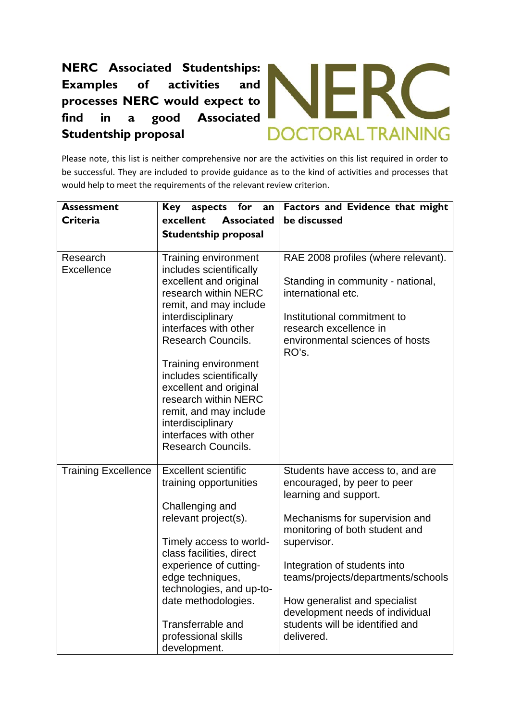## **NERC Associated Studentships: Examples of activities and processes NERC would expect to find in a good Associated Studentship proposal**



Please note, this list is neither comprehensive nor are the activities on this list required in order to be successful. They are included to provide guidance as to the kind of activities and processes that would help to meet the requirements of the relevant review criterion.

| <b>Assessment</b>          | Key<br>aspects for<br>an                       | Factors and Evidence that might                                    |
|----------------------------|------------------------------------------------|--------------------------------------------------------------------|
| Criteria                   | excellent<br><b>Associated</b>                 | be discussed                                                       |
|                            | <b>Studentship proposal</b>                    |                                                                    |
|                            |                                                |                                                                    |
| Research                   | Training environment                           | RAE 2008 profiles (where relevant).                                |
| <b>Excellence</b>          | includes scientifically                        |                                                                    |
|                            | excellent and original<br>research within NERC | Standing in community - national,<br>international etc.            |
|                            | remit, and may include                         |                                                                    |
|                            | interdisciplinary                              | Institutional commitment to                                        |
|                            | interfaces with other                          | research excellence in                                             |
|                            | Research Councils.                             | environmental sciences of hosts                                    |
|                            |                                                | RO's.                                                              |
|                            | Training environment                           |                                                                    |
|                            | includes scientifically                        |                                                                    |
|                            | excellent and original                         |                                                                    |
|                            | research within NERC<br>remit, and may include |                                                                    |
|                            | interdisciplinary                              |                                                                    |
|                            | interfaces with other                          |                                                                    |
|                            | <b>Research Councils.</b>                      |                                                                    |
|                            |                                                |                                                                    |
| <b>Training Excellence</b> | <b>Excellent scientific</b>                    | Students have access to, and are                                   |
|                            | training opportunities                         | encouraged, by peer to peer                                        |
|                            |                                                | learning and support.                                              |
|                            | Challenging and<br>relevant project(s).        | Mechanisms for supervision and                                     |
|                            |                                                | monitoring of both student and                                     |
|                            | Timely access to world-                        | supervisor.                                                        |
|                            | class facilities, direct                       |                                                                    |
|                            | experience of cutting-                         | Integration of students into                                       |
|                            | edge techniques,                               | teams/projects/departments/schools                                 |
|                            | technologies, and up-to-                       |                                                                    |
|                            | date methodologies.                            | How generalist and specialist                                      |
|                            | Transferrable and                              | development needs of individual<br>students will be identified and |
|                            | professional skills                            | delivered.                                                         |
|                            | development.                                   |                                                                    |